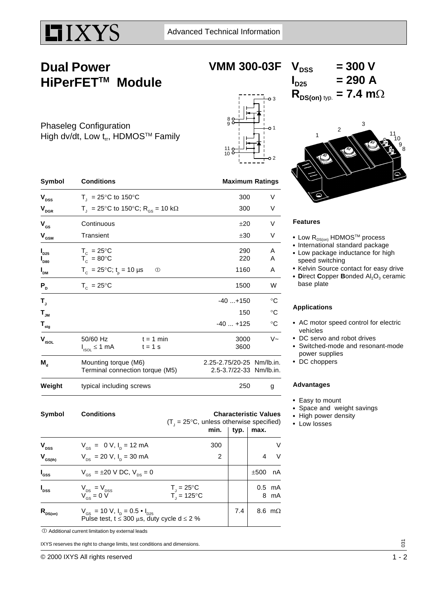

## **Dual Power HiPerFETTM Module**

**VMM 300-03F**

## $V_{DSS}$  = 300 V  $I_{D25}$  = 290 A  $R_{DS(on) \, \text{typ.}} = 7.4 \, \text{m}\Omega$

Phaseleg Configuration High dv/dt, Low  $t_{rr}$ , HDMOS<sup>TM</sup> Family





### **Features**

- Low  $\mathsf{R}_{\texttt{DS(on)}}$  HDMOS<sup>TM</sup> process
- International standard package
- Low package inductance for high speed switching
- Kelvin Source contact for easy drive
- **Direct Copper Bonded Al<sub>2</sub>O<sub>3</sub> ceramic** base plate

### **Applications**

- AC motor speed control for electric vehicles
- DC servo and robot drives
- Switched-mode and resonant-mode power supplies
- DC choppers

#### **Advantages**

- Easy to mount
- Space and weight savings
- High power density
- Low losses

| Cumbal                         | Conditions<br>Characterictic Values                                    |                                                      |             |
|--------------------------------|------------------------------------------------------------------------|------------------------------------------------------|-------------|
| Weight                         | typical including screws                                               | 250                                                  |             |
| $M_{\rm d}$                    | Mounting torque (M6)<br>Terminal connection torque (M5)                | 2.25-2.75/20-25 Nm/lb.in.<br>2.5-3.7/22-33 Nm/lb.in. |             |
| $\mathbf{V}_{\mathsf{ISOL}}$   | 50/60 Hz<br>$t = 1$ min<br>$I_{ISOL} \leq 1$ mA<br>$t = 1$ s           | 3000<br>3600                                         | $V -$       |
| $\mathbf{T}_{\text{stg}}$      |                                                                        | $-40+125$                                            | $^{\circ}C$ |
| $\mathbf{T}_{_{\mathsf{JM}}}$  |                                                                        | 150                                                  | $^{\circ}C$ |
| $T_{\rm J}$                    |                                                                        | $-40+150$                                            | °C          |
| $P_{D}$                        | $T_c = 25^{\circ}$ C                                                   | 1500                                                 | W           |
| $I_{DM}$                       | $T_c = 25^{\circ}C$ ; $t_o = 10 \text{ }\mu\text{s}$<br>$\circledcirc$ | 1160                                                 | A           |
| $I_{D25}$<br>$I_{D80}$         | $T_c = 25^{\circ}C$<br>$T_c = 80^{\circ}$ C                            | 290<br>220                                           | A<br>A      |
| $\mathbf{V}_{_{\text{GSM}}}$   | Transient                                                              | ±30                                                  | V           |
| $V_{gs}$                       | Continuous                                                             | ±20                                                  | V           |
| $\mathbf{V}_{_{\mathrm{DGR}}}$ | T <sub>1</sub> = 25°C to 150°C; R <sub>GS</sub> = 10 kΩ                | 300                                                  | V           |
| $\mathbf{V}_{\texttt{DSS}}$    | $T_1 = 25^{\circ}$ C to 150°C                                          | 300                                                  | V           |

| Symbol           | <b>Conditions</b>                                                                                                                  | <b>Characteristic Values</b><br>$(T_{1} = 25^{\circ}C$ , unless otherwise specified) |                |      |      |                  |
|------------------|------------------------------------------------------------------------------------------------------------------------------------|--------------------------------------------------------------------------------------|----------------|------|------|------------------|
|                  |                                                                                                                                    |                                                                                      | min.           | typ. | max. |                  |
| $V_{\text{DSS}}$ | $V_{\text{gs}} = 0 V, I_{\text{p}} = 12 \text{ mA}$                                                                                |                                                                                      | 300            |      |      | V                |
| $V_{GS(th)}$     | $V_{DS}$ = 20 V, I <sub>p</sub> = 30 mA                                                                                            |                                                                                      | $\overline{2}$ |      | 4    | V                |
| $I_{css}$        | $V_{cs} = \pm 20 \text{ V DC}, V_{cs} = 0$                                                                                         |                                                                                      |                |      | ±500 | nA               |
| $I_{\text{DSS}}$ | $V_{DS} = V_{DSS}$<br>$V_{GS} = 0$ V                                                                                               | $T_{\rm j} = 25^{\circ}C$<br>$T_{1} = 125^{\circ}C$                                  |                |      |      | $0.5$ mA<br>8 mA |
| $R_{DS(on)}$     | $V_{\text{gs}}$ = 10 V, $I_{\text{p}}$ = 0.5 $\bullet$ $I_{\text{p25}}$<br>Pulse test, $t \le 300 \mu s$ , duty cycle d $\le 2 \%$ |                                                                                      |                | 7.4  |      | 8.6 m $\Omega$   |

 $\Phi$  Additional current limitation by external leads

IXYS reserves the right to change limits, test conditions and dimensions.

© 2000 IXYS All rights reserved 1 - 2